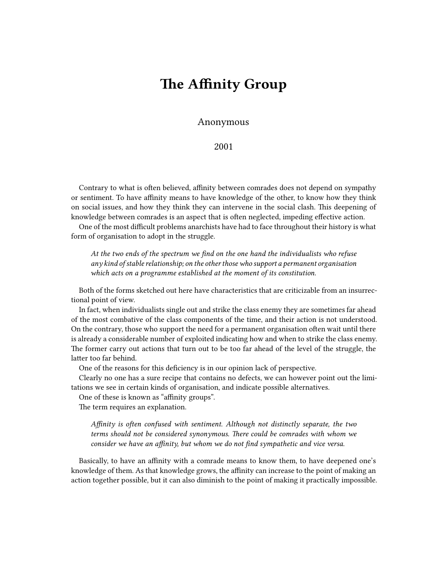## **The Affinity Group**

## Anonymous

2001

Contrary to what is often believed, affinity between comrades does not depend on sympathy or sentiment. To have affinity means to have knowledge of the other, to know how they think on social issues, and how they think they can intervene in the social clash. This deepening of knowledge between comrades is an aspect that is often neglected, impeding effective action.

One of the most difficult problems anarchists have had to face throughout their history is what form of organisation to adopt in the struggle.

*At the two ends of the spectrum we find on the one hand the individualists who refuse any kind of stable relationship; on the other those who support a permanent organisation which acts on a programme established at the moment of its constitution.*

Both of the forms sketched out here have characteristics that are criticizable from an insurrectional point of view.

In fact, when individualists single out and strike the class enemy they are sometimes far ahead of the most combative of the class components of the time, and their action is not understood. On the contrary, those who support the need for a permanent organisation often wait until there is already a considerable number of exploited indicating how and when to strike the class enemy. The former carry out actions that turn out to be too far ahead of the level of the struggle, the latter too far behind.

One of the reasons for this deficiency is in our opinion lack of perspective.

Clearly no one has a sure recipe that contains no defects, we can however point out the limitations we see in certain kinds of organisation, and indicate possible alternatives.

One of these is known as "affinity groups".

The term requires an explanation.

*Affinity is often confused with sentiment. Although not distinctly separate, the two terms should not be considered synonymous. There could be comrades with whom we consider we have an affinity, but whom we do not find sympathetic and vice versa.*

Basically, to have an affinity with a comrade means to know them, to have deepened one's knowledge of them. As that knowledge grows, the affinity can increase to the point of making an action together possible, but it can also diminish to the point of making it practically impossible.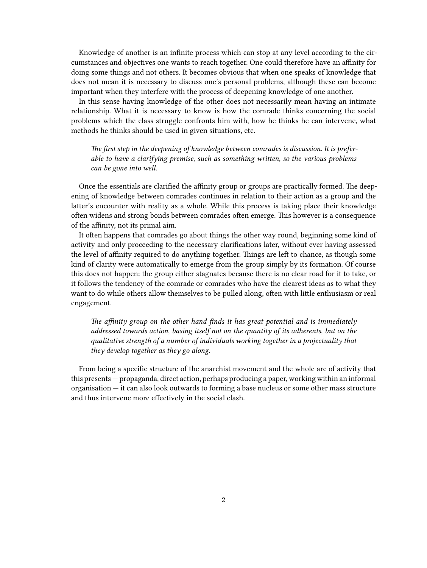Knowledge of another is an infinite process which can stop at any level according to the circumstances and objectives one wants to reach together. One could therefore have an affinity for doing some things and not others. It becomes obvious that when one speaks of knowledge that does not mean it is necessary to discuss one's personal problems, although these can become important when they interfere with the process of deepening knowledge of one another.

In this sense having knowledge of the other does not necessarily mean having an intimate relationship. What it is necessary to know is how the comrade thinks concerning the social problems which the class struggle confronts him with, how he thinks he can intervene, what methods he thinks should be used in given situations, etc.

*The first step in the deepening of knowledge between comrades is discussion. It is preferable to have a clarifying premise, such as something written, so the various problems can be gone into well.*

Once the essentials are clarified the affinity group or groups are practically formed. The deepening of knowledge between comrades continues in relation to their action as a group and the latter's encounter with reality as a whole. While this process is taking place their knowledge often widens and strong bonds between comrades often emerge. This however is a consequence of the affinity, not its primal aim.

It often happens that comrades go about things the other way round, beginning some kind of activity and only proceeding to the necessary clarifications later, without ever having assessed the level of affinity required to do anything together. Things are left to chance, as though some kind of clarity were automatically to emerge from the group simply by its formation. Of course this does not happen: the group either stagnates because there is no clear road for it to take, or it follows the tendency of the comrade or comrades who have the clearest ideas as to what they want to do while others allow themselves to be pulled along, often with little enthusiasm or real engagement.

*The affinity group on the other hand finds it has great potential and is immediately addressed towards action, basing itself not on the quantity of its adherents, but on the qualitative strength of a number of individuals working together in a projectuality that they develop together as they go along.*

From being a specific structure of the anarchist movement and the whole arc of activity that this presents — propaganda, direct action, perhaps producing a paper, working within an informal organisation — it can also look outwards to forming a base nucleus or some other mass structure and thus intervene more effectively in the social clash.